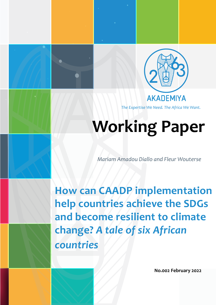

*The Expertise We Need. The Africa We Want.*

# **Working Paper**

*Mariam Amadou Diallo and Fleur Wouterse*

**How can CAADP implementation help countries achieve the SDGs and become resilient to climate change?** *A tale of six African countries*

**No.002 February 2022**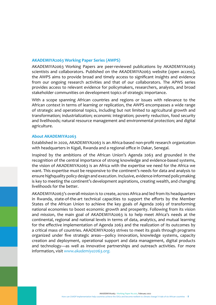#### **AKADEMIYA2063 Working Paper Series (AWPS)**

AKADEMIYA2063 Working Papers are peer-reviewed publications by AKADEMIYA2063 scientists and collaborators. Published on the AKADEMIYA2063 website (open access), the AWPS aims to provide broad and timely access to significant insights and evidence from our ongoing research activities and that of our collaborators. The APWS series provides access to relevant evidence for policymakers, researchers, analysts, and broad stakeholder communities on development topics of strategic importance.

With a scope spanning African countries and regions or issues with relevance to the African context in terms of learning or replication, the AWPS encompasses a wide range of strategic and operational topics, including but not limited to agricultural growth and transformation; industrialization; economic integration; poverty reduction, food security and livelihoods; natural resource management and environmental protection; and digital agriculture.

### **About AKADEMIYA2063**

Established in 2020, AKADEMIYA2063 is an Africa-based non-profit research organization with headquarters in Kigali, Rwanda and a regional office in Dakar, Senegal.

Inspired by the ambitions of the African Union's Agenda 2063 and grounded in the recognition of the central importance of strong knowledge and evidence-based systems, the vision of AKADEMIYA2063 is an Africa with the expertise we need for the Africa we want. This expertise must be responsive to the continent's needs for data and analysis to ensure highquality policy design and execution. Inclusive, evidence-informed policymaking is key to meeting the continent's development aspirations, creating wealth, and changing livelihoods for the better.

AKADEMIYA2063's overall mission is to create, across Africa and led from its headquarters in Rwanda, state-of-the-art technical capacities to support the efforts by the Member States of the African Union to achieve the key goals of Agenda 2063 of transforming national economies to boost economic growth and prosperity. Following from its vision and mission, the main goal of AKADEMIYA2063 is to help meet Africa's needs at the continental, regional and national levels in terms of data, analytics, and mutual learning for the effective implementation of Agenda 2063 and the realization of its outcomes by a critical mass of countries. AKADEMIYA2063 strives to meet its goals through programs organized under five strategic areas—policy innovation, knowledge systems, capacity creation and deployment, operational support and data management, digital products and technology—as well as innovative partnerships and outreach activities. For more information, visit *[www.akademiya2063.org.](http://www.akademiya2063.org)*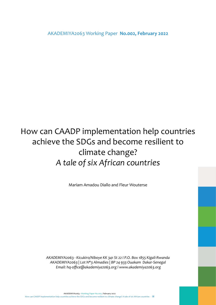AKADEMIYA2063 Working Paper **No.002, February 2022**

# How can CAADP implementation help countries achieve the SDGs and become resilient to climate change? *A tale of six African countries*

Mariam Amadou Diallo and Fleur Wouterse

*AKADEMIYA2063 - Kicukiro/Niboye KK 341 St 22 I P.O. Box 1855 Kigali-Rwanda AKADEMIYA2063 | Lot N\*3 Almadies | BP 24 933 Ouakam Dakar-Senegal Email: hq-office@akademiya2063.org l www.akademiya2063.org*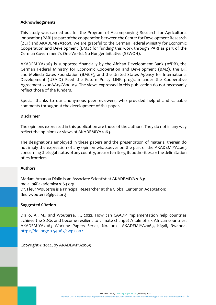### **Acknowledgments**

This study was carried out for the Program of Accompanying Research for Agricultural Innovation (PARI) as part of the cooperation between the Center for Development Research (ZEF) and AKADEMIYA2063. We are grateful to the German Federal Ministry for Economic Cooperation and Development (BMZ) for funding this work through PARI as part of the German Government's One World, No Hunger Initiative (SEWOH).

AKADEMIYA2063 is supported financially by the African Development Bank (AfDB), the German Federal Ministry for Economic Cooperation and Development (BMZ), the Bill and Melinda Gates Foundation (BMGF), and the United States Agency for International Development (USAID) Feed the Future Policy LINK program under the Cooperative Agreement 7200AA19CA00019. The views expressed in this publication do not necessarily reflect those of the funders.

Special thanks to our anonymous peer-reviewers, who provided helpful and valuable comments throughout the development of this paper.

### **Disclaimer**

The opinions expressed in this publication are those of the authors. They do not in any way reflect the opinions or views of AKADEMIYA2063.

The designations employed in these papers and the presentation of material therein do not imply the expression of any opinion whatsoever on the part of the AKADEMIYA2063 concerning the legal status of any country, area or territory, its authorities, or the delimitation of its frontiers.

### **Authors**

Mariam Amadou Diallo is an Associate Scientist at AKADEMIYA2063: mdiallo@akademiya2063.org. Dr. Fleur Wouterse is a Principal Researcher at the Global Center on Adaptation: fleur.wouterse@gca.org

### **Suggested Citation**

Diallo, A., M., and Wouterse, F., 2022. How can CAADP implementation help countries achieve the SDGs and become resilient to climate change? A tale of six African countries. AKADEMIYA2063 Working Papers Series, No. 002., AKADEMIYA2063, Kigali, Rwanda. [https://doi.org/10.54067/awps.002](https://doi.org/10.54067/awps.002
)

Copyright © 2022, by AKADEMIYA2063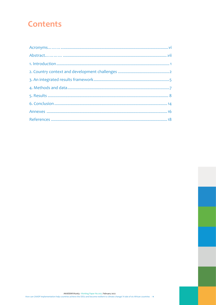# **Contents**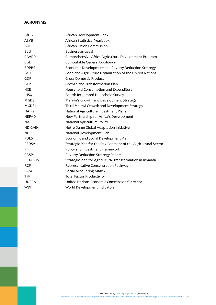# **ACRONYMS**

| AfDB            | African Development Bank                                      |
|-----------------|---------------------------------------------------------------|
| <b>ASYB</b>     | African Statistical Yearbook                                  |
| <b>AUC</b>      | African Union Commission                                      |
| BaU             | Business-as-usual                                             |
| CAADP           | Comprehensive Africa Agriculture Development Program          |
| CGE             | Computable General Equilibrium                                |
| <b>EDPRS</b>    | Economic Development and Poverty Reduction Strategy           |
| <b>FAO</b>      | Food and Agriculture Organization of the United Nations       |
| GDP             | <b>Gross Domestic Product</b>                                 |
| <b>GTP II</b>   | Growth and Transformation Plan II                             |
| <b>HCE</b>      | Household Consumption and Expenditure                         |
| IHS4            | Fourth Integrated Household Survey                            |
| <b>MGDS</b>     | Malawi's Growth and Development Strategy                      |
| <b>MGDS III</b> | Third Malawi Growth and Development Strategy                  |
| <b>NAIPs</b>    | National Agriculture Investment Plans                         |
| <b>NEPAD</b>    | New Partnership for Africa's Development                      |
| <b>NAP</b>      | National Agriculture Policy                                   |
| <b>ND-GAIN</b>  | Notre Dame Global Adaptation Initiative                       |
| NDP             | National Development Plan                                     |
| <b>PDES</b>     | Economic and Social Development Plan                          |
| <b>PEDSA</b>    | Strategic Plan for the Development of the Agricultural Sector |
| PIF             | Policy and Investment Framework                               |
| <b>PRSPs</b>    | Poverty Reduction Strategy Papers                             |
| PSTA - IV       | Strategic Plan for Agricultural Transformation in Rwanda      |
| <b>RCP</b>      | Representative Concentration Pathway                          |
| <b>SAM</b>      | <b>Social Accounting Matrix</b>                               |
| <b>TFP</b>      | <b>Total Factor Productivity</b>                              |
| <b>UNECA</b>    | United Nations Economic Commission for Africa                 |
| <b>WDI</b>      | World Development Indicators                                  |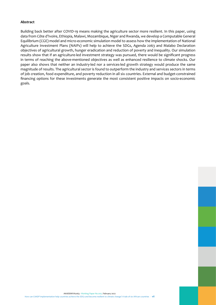#### **Abstract**

Building back better after COVID-19 means making the agriculture sector more resilient. In this paper, using data from Côte d'Ivoire, Ethiopia, Malawi, Mozambique, Niger and Rwanda, we develop a Computable General Equilibrium (CGE) model and micro-economic simulation model to assess how the implementation of National Agriculture Investment Plans (NAIPs) will help to achieve the SDGs, Agenda 2063 and Malabo Declaration objectives of agricultural growth, hunger eradication and reduction of poverty and inequality. Our simulation results show that if an agriculture-led investment strategy was pursued, there would be significant progress in terms of reaching the above-mentioned objectives as well as enhanced resilience to climate shocks. Our paper also shows that neither an industry-led nor a services-led growth strategy would produce the same magnitude of results. The agricultural sector is found to outperform the industry and services sectors in terms of job creation, food expenditure, and poverty reduction in all six countries. External and budget-constrained financing options for these investments generate the most consistent positive impacts on socio-economic goals.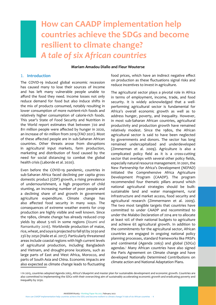# <span id="page-7-0"></span>**How can CAADP implementation help countries achieve the SDGs and become resilient to climate change?**  *A tale of six African countries*

#### **Mariam Amadou Diallo and Fleur Wouterse**

#### 1. **Introduction**

The COVID-19 induced global economic recession has caused many to lose their sources of income and has left many vulnerable people unable to afford the food they need. Income losses not only reduce demand for food but also induce shifts in the mix of products consumed, notably resulting in lower consumption of more nutrient-rich foods and relatively higher consumption of calorie-rich foods. This year's State of Food Security and Nutrition in the World report estimates that between 720 and 811 million people were affected by hunger in 2020, an increase of 161 million from 2019 (FAO 2021). Most of these affected people are in sub-Saharan African countries. Other threats arose from disruptions in agricultural input markets, farm production, marketing and distribution of food caused by the need for social distancing to combat the global health crisis (Laborde et al. 2020).

Even before the COVID-19 pandemic, countries in sub-Saharan Africa faced declining per capita gross domestic product (GDP) growth, a rising prevalence of undernourishment, a high proportion of child stunting, an increasing number of poor people and a declining share of and growth in government agriculture expenditure. Climate change has also affected food security in many ways. The consequences of extreme weather events for crop production are highly visible and well known. Since the 1980s, climate change has already reduced crop yields by about 5-10% in some regions (Iizumi and Ramankutty 2016). Worldwide production of maize, rice, wheat, and soya is projected to fall 9% by 2030 and 23% by 2050 (Haile et al. 2017). Particularly threatened areas include coastal regions with high current levels of agricultural production, including Bangladesh and Vietnam, and drought-prone locations, such as large parts of East and West Africa, Morocco, and parts of South Asia and China. Economic impacts are also expected as climate change leads to fluctuating food prices, which have an indirect negative effect on production as these fluctuations signal risks and reduce incentives to invest in agriculture.

The agricultural sector plays a pivotal role in Africa in terms of employment, income, trade, and food security. It is widely acknowledged that a wellperforming agricultural sector is fundamental for Africa's overall economic growth as well as to address hunger, poverty, and inequality. However, in most sub-Saharan African countries, agricultural productivity and production growth have remained relatively modest. Since the 1980s, the African agricultural sector is said to have been neglected by governments and donors. The sector has long remained undercapitalized and underdeveloped (Zimmerman et al. 2009). Agriculture is also a complicated policy field as it is a cross-cutting sector that overlaps with several other policy fields, especially natural resource management. In 2001, the New Partnership for Africa's Development (NEPAD) initiated the Comprehensive Africa Agriculture Development Program (CAADP). The program recommended four thematic pillars around which national agricultural strategies should be built: sustainable land and water management, rural infrastructure and market access, food security and agricultural research (Zimmermann et al. 2009). The two most tangible targets that countries have committed to under CAADP and recommitted to under the Malabo Declaration of 2014 are to allocate at least 10% of their national budgets to agriculture and achieve 6% agricultural growth. In addition to the commitments for the agricultural sector, African countries are engaged in ongoing national policy planning processes, standard frameworks like PRSPs and continental (Agenda 2063) and global (SDGs) agendas.<sup>1</sup> Many African countries have also signed the Paris Agreement on Climate change and have developed Nationally Determined Contributions on climate action and National Adaptation Plans.

<sup>1</sup> In 2015, countries adopted Agenda 2063, Africa's blueprint and master plan for sustainable development and economic growth. Countries are also committed to implementing the SDGs with their overarching aim of sustainably accelerating economic growth and eradicating poverty and inequality by 2030.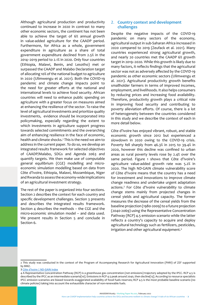<span id="page-8-0"></span>Although agricultural production and productivity continued to increase in 2020 in contrast to many other economic sectors, the continent has not been able to achieve the target of 6% annual growth in value-added agriculture for the CAADP period. Furthermore, for Africa as a whole, government expenditure in agriculture as a share of total government expenditure declined from 2.5% in the 2014–2019 period to 2.1% in 2020. Only four countries (Ethiopia, Malawi, Benin, and Lesotho) met or surpassed the CAADP and Malabo Declaration target of allocating 10% of the national budget to agriculture in 2020 (Ulimwengu et al. 2021). Both the COVID-19 pandemic and climate change impacts point to the need for greater efforts at the national and international levels to achieve food security. African countries will need to enhance public spending on agriculture with a greater focus on measures aimed at enhancing the resilience of the sector. To raise the level of agricultural investments and prioritize quality investments, evidence should be incorporated into policymaking, especially regarding the extent to which investments in agriculture support progress towards selected commitments and the overarching aim of enhancing resilience in the face of economic, health and climate shocks.2 This is the need we aim to address in the current paper. To do so, we develop an integrated results framework for selected objectives of CAADP/Malabo, SDGs and Agenda 2063 and quantify targets. We then make use of computable general equilibrium (CGE) modelling and microeconomic simulation modelling based on data from Côte d'Ivoire, Ethiopia, Malawi, Mozambique, Niger and Rwanda to assess the economy-wide implications of an agricultural investment strategy.

The rest of the paper is organized into four sections. Section 2 describes the context for each country and specific development challenges. Section 3 presents and describes the integrated results framework. Section 4 describes the methods – the CGE and the micro-economic simulation model – and data used. We present results in Section 5 and conclude in Section 6.

### 2. **Country context and development challenges**

Despite the negative impacts of the COVID-19 pandemic on many sectors of the economy, agricultural output in sub-Saharan Africa increased in 2020 compared to 2019 (Zeufack et al. 2021). Many countries experienced strong agricultural growth, and nearly 20 countries met the CAADP 6% growth target in 2019–2020. While this growth is likely due to many factors, it reflects findings that the agricultural sector was not as adversely affected by the COVID-19 pandemic as other economic sectors (Ulimwengu et al. 2021). Agricultural productivity growth benefits smallholder farmers in terms of improved incomes, employment, and livelihoods. It also helps consumers by reducing prices and increasing food availability. Therefore, productivity growth plays a critical role in improving food security and contributing to poverty alleviation efforts. Of course, there is a lot of heterogeneity between the countries considered in this study and we describe the context of each in more detail below.

Côte d'Ivoire has enjoyed vibrant, robust, and stable economic growth since 2012 but experienced a slowdown in 2020 owing to the COVID-19 crisis. Poverty fell sharply from 46.3% in 2015 to 39.4% in 2020, however this decline was confined to urban areas as rural poverty levels rose by 2.4% over the same period. Figure 1 shows that Côte d'Ivoire's agriculture value-added growth rate was 5.2% in 2020. The high ND-GAIN climate vulnerability score of Côte d'Ivoire means that the country has a need for investment and innovations to improve climate change readiness and undertake urgent adaptation actions.3 For Côte d'Ivoire vulnerability to climate change stems mainly from projected changes in cereal yields and agricultural capacity. The former measures the decrease of the cereal yields from the baseline projection (1980-2009) to a future projection (2040-2069) using the Representative Concentration Pathway (RCP) 4.5 emission scenario while the latter reflects a country's capacity to acquire and deploy agricultural technology such as fertilizers, pesticides, irrigation and other agricultural equipment.4

AKADEMIYA2063 - Working Paper No.002, February 2022

<sup>2</sup> This study was conducted in the context of the Program of Accompanying Research for Agricultural Innovation (PARI) of ZEF supported by BMZ.

<sup>3</sup> [Côte d'Ivoire | ND-GAIN Index](http://perspective.usherbrooke.ca/bilan/tend/MLI/fr/SP.POP.TOTL.html)

<sup>4</sup> A Representative Concentration Pathway (RCP) is a [greenhouse gas](https://www.unicef.org/mali/media/2296/file/PLAN%20D%E2%80%99ACTION%20MULTISECTORIEL%20DE%20NUTRITION%202014-2018.pdf) concentration (not emissions) trajectory adopted by the [IPCC.](https://www.fao.org/3/i9626fr/I9626FR.pdf) RCP 4.5 is described by the IPCC as an intermediate scenari[o\[10\]](http://extwprlegs1.fao.org/docs/pdf/Mli192037.pdf). Emissions in RCP 4.5 peak around 2040, then decline[\[13\]](http://bamakonews.net/2019/08/importation-du-lait-le-mali-investit-plus-de-18-milliards-fcfa/). According to resource specialists IPCC emission scenarios are biased towards exaggerated availability of fossil fuels reserves; RCP 4.5 is the most probable baseline scenario (no climate policies) taking into account the exhaustible character of non-renewable fuels.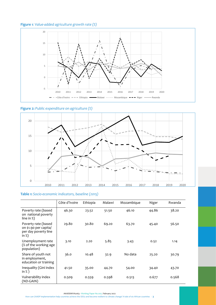# **Figure 1***: Value-added agriculture growth rate (%)*







# **Table 1:** Socio-economic indicators, baseline (2015)

|                                                                                     | Côte d'Ivoire | Ethiopia | Malawi | Mozambique | Niger | Rwanda |
|-------------------------------------------------------------------------------------|---------------|----------|--------|------------|-------|--------|
| Poverty rate (based<br>on national poverty<br>line in $\%$ )                        | 46.30         | 23.52    | 51.50  | 46.10      | 44.86 | 38.20  |
| Poverty rate (based<br>on \$1.90 per capita/<br>per day poverty line<br>in $\chi$ ) | 29.80         | 30.80    | 69.20  | 63.70      | 45.40 | 56.50  |
| Unemployment rate<br>(% of the working age<br>population)                           | 3.10          | 2.20     | 5.85   | 3.43       | 0.52  | 1.14   |
| Share of youth not<br>in employment,<br>education or training                       | 36.0          | 10.48    | 32.9   | No data    | 25.20 | 30.79  |
| Inequality (Gini index<br>in $\%$ )                                                 | 41.50         | 35.00    | 44.70  | 54.00      | 34.40 | 43.70  |
| Vulnerability index<br>(ND-GAIN)                                                    | 0.509         | 0.559    | 0.598  | 0.513      | 0.677 | 0.568  |

AKADEMIYA2063 - Working Paper No.002, February 2022

How can CAADP implementation help countries achieve the SDGs and become resilient to climate change? A tale of six African countries - **3**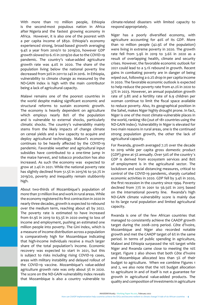With more than 112 million people, Ethiopia is the second-most populous nation in Africa after Nigeria and the fastest growing economy in Africa. However, it is also one of the poorest with a per capita income of \$850. Ethiopia's economy experienced strong, broad-based growth averaging 9.4% a year from 2010/11 to 2019/20, however GDP growth slowed to 6.1% in 2019/20 due to the COVID-19 pandemic. The country's value-added agriculture growth rate was 4.0% in 2020. The share of the population living below the national poverty line decreased from 30% in 2011 to 24% in 2016. In Ethiopia, vulnerability to climate change as measured by the ND-GAIN index is high with the main contributor being a lack of agricultural capacity.

Malawi remains one of the poorest countries in the world despite making significant economic and structural reforms to sustain economic growth. The economy is heavily dependent on agriculture which employs nearly 80% of the population and is vulnerable to external shocks, particularly climatic shocks. The country's vulnerability mainly stems from the likely impacts of change climate on cereal yields and a low capacity to acquire and deploy agricultural technology. Malawi's economy continues to be heavily affected by the COVID-19 pandemic. Favorable weather and agricultural input subsidies have contributed to a one-time jump in the maize harvest, and tobacco production has also increased. As such the economy was expected to grow at 2.4% in 2021. While the national poverty rate has slightly declined from 51.5% in 2015/16 to 50.7% in 2019/20, poverty and inequality remain stubbornly high.

About two-thirds of Mozambique's population of more than 31 million live and work in rural areas. While the economy registered its first contraction in 2020 in nearly three decades, growth is expected to rebound over the medium term, reaching about 4% by 2022. The poverty rate is estimated to have increased from 61.9% in 2019 to 63.3% in 2020 owing to loss of income and employment, pushing an estimated one million people into poverty. The Gini index, which is a measure of income distribution across a population is comparatively high for Mozambique indicating that high-income individuals receive a much larger share of the total population's income. Economic recovery was expected to start in 2021, but this is subject to risks including rising COVID-19 cases, areas with military instability and delayed rollout of the COVID-19 vaccine. Mozambique's value-added agriculture growth rate was only about 3% in 2020. The score on the ND-GAIN vulnerability index reveals that Mozambique is also a country vulnerable to

climate-related disasters with limited capacity to respond appropriately.

Niger has a poorly diversified economy, with agriculture accounting for 40% of its GDP. More than 10 million people (42.9% of the population) were living in extreme poverty in 2020. The growth rate fell from 5.9% in 2019 to 3.6% in 2020 as a result of overlapping health, climate and security crises. However, the favorable economic outlook for 2021 could lead to a 5.1% rebound in growth. Recent gains in combating poverty are in danger of being wiped out, following a 0.2% drop in per capita income in 2020. The favorable economic outlook is expected to help reduce the poverty rate from 41.2% in 2020 to 37% in 2023. However, an annual population growth rate of 3.8% and a fertility rate of 6.9 children per woman continue to limit the fiscal space available to reduce poverty. Also, its geographical position in the Sahel, makes Niger highly drought prone. In fact, Niger is one of the most climate-vulnerable places in the world, ranking 180 (out of 181 countries using the ND-GAIN index). Vulnerability in Niger is elevated for two main reasons in rural areas, one is the continued strong population growth, the other the lack of agricultural capacity.

For Rwanda, growth averaged 7.2% over the decade to 2019 while per capita gross domestic product (GDP) grew at 5% annually. Over 50% of the country's GDP is derived from ecosystem services and 80% of employment is in the agricultural sector. The lockdown and social distancing measures, critical to control of the COVID-19 pandemic, sharply curtailed economic activities in 2020. GDP fell by 3.4% in 2020, the first recession in the country since 1994. Poverty declined from 77% in 2001 to 56.50% in 2015 based on the international poverty line. Rwanda's high ND-GAIN climate vulnerability score is mainly due to its large rural population and limited agricultural capacity.

Rwanda is one of the few African countries that managed to consistently achieve the CAADP growth target during the 2008–2019 period. Côte d'Ivoire, Mozambique and Niger also recorded notable growth and met the CAADP target of 6% in the same period. In terms of public spending in agriculture, Malawi and Ethiopia surpassed the 10% target while Niger and Rwanda came close to meeting the 10% target. Figure 2 also shows that both Côte d'Ivoire and Mozambique allocated less than 5% of their budget to agriculture. When we combine Figures 1 and 2, we also note that the 10% budget allocation to agriculture in and of itself is not a guarantee for growth in agricultural value-added products. The quality and composition of investments in agriculture

AKADEMIYA2063 - Working Paper No.002, February 2022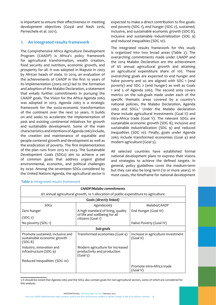<span id="page-11-0"></span>is important to ensure their effectiveness in meeting development objectives (Goyal and Nash 2016; Pernechele et al. 2021).

# 3. **An integrated results framework**

The Comprehensive Africa Agriculture Development Program (CAADP) is Africa's policy framework for agricultural transformation, wealth creation, food security and nutrition, economic growth, and prosperity for all. It was adopted in Maputo in 2003 by African heads of state. In 2014, an evaluation of the achievements of CAADP in the first 10 years of its implementation (2003-2013) led to the formation and adoption of the Malabo Declaration, a statement that entails further commitments in pursuing the CAADP goals. The Vision for the Africa Agenda 2063 was adopted in 2013. Agenda 2063 is a strategic framework for the socio-economic transformation of the continent over the next 50 years. It builds on and seeks to accelerate the implementation of past and existing continental initiatives for growth and sustainable development. Some of the main characteristics and intentions of Agenda 2063 include, the creation and maintenance of equitable and people-centered growth and development as well as the eradication of poverty. The first implementation of the plan runs from 2013 to 2023. The Sustainable Development Goals (SDGs) aim to achieve a set of common goals that address urgent global environmental, economic, and political challenges by 2030. Among the seventeen SDGs considered by the United Nations Agenda, the agricultural sector is

expected to make a direct contribution to five goals: end poverty (SDG 1), end hunger (SDG 2), sustained, inclusive, and sustainable economic growth (SDG 8), inclusive and sustainable industrialization (SDG 9) and reduced inequalities (SDG 10).

The integrated results framework for this study is organized into two broad areas (Table 2). The overarching commitments made under CAADP and the 2014 Malabo Declaration are the achievement of 6% annual agricultural growth and attaining an agricultural expenditure share of 10%. These overarching goals are expected to end hunger and halve poverty and so are aligned with SDG 1 (end poverty) and SDG 2 (end hunger) as well as Goals 1 and 5 of Agenda 2063. The second area covers metrics on the sub-goals made under each of the specific thematic areas covered by a country's national policies, the Malabo Declaration, Agenda 2063 and SDGs.<sup>5</sup> Under the Malabo declaration these include agricultural investments (Goal II) and intra-Africa trade (Goal V). The relevant SDGs are sustainable economic growth (SDG 8), inclusive and sustainable industrialization (SDG 9) and reduced inequalities (SDG 10). Finally, goals under Agenda 2063 include transformed economies (Goal 4) and modern agriculture (Goal 5).

All selected countries have established formal national development plans to express their visions and strategies to achieve the defined targets. In general, policy guidelines cover the medium-term but they can also be long term (10 or more years). In most cases, the timeframe for national development

| <b>CAADP/Malabo commitments</b>                                                     |                                                                             |                                                 |  |  |
|-------------------------------------------------------------------------------------|-----------------------------------------------------------------------------|-------------------------------------------------|--|--|
| 6% annual agricultural growth, 10 % allocation of public expenditure to agriculture |                                                                             |                                                 |  |  |
|                                                                                     | Goals (directly linked)                                                     |                                                 |  |  |
| <b>SDGs</b>                                                                         | Agenda2063                                                                  | Malabo/CAADP                                    |  |  |
| Zero hunger                                                                         | A high standard of living, quality                                          | End Hunger (Goal III)                           |  |  |
| (SDG 2)                                                                             | of life and wellbeing for all<br>citizens (Goal 1)                          |                                                 |  |  |
| No poverty (SDG 1)                                                                  |                                                                             | Halve Poverty (Goal IV)                         |  |  |
|                                                                                     | Sub-goals                                                                   |                                                 |  |  |
| Promote sustained, inclusive and<br>sustainable economic growth<br>(SDG 8)          | Transformed economies (Goal 4)                                              | Increase in agriculture Investment<br>(Goal II) |  |  |
| Industry, innovation and<br>infrastructure (SDG 9)                                  | Modern agriculture for increased<br>productivity and production<br>(Goal 5) |                                                 |  |  |
| Reduced inequalities (SDG 10)                                                       |                                                                             |                                                 |  |  |
|                                                                                     |                                                                             | Promote intra-Africa trade<br>(Goal V)          |  |  |

#### *Table 2: Integrated results framework*

<sup>5</sup> It should be noted that Agenda 2063 and the SDGs also contain goals for non-agricultural sectors, some of which are considered for this analysis.

AKADEMIYA2063 - Working Paper No.002, February 2022 How can CAADP implementation help countries achieve the SDGs and become resilient to climate change? A tale of six African countries - **5**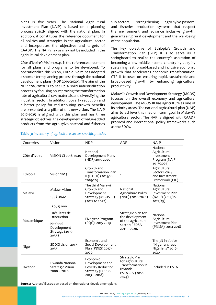plans is five years. The National Agricultural Investment Plan (NAIP) is based on a planning process strictly aligned with the national plan. In addition, it constitutes the reference document for all policies and strategies in the agricultural sector and incorporates the objectives and targets of CAADP. The NAIP may or may not be included in the agricultural development plan.

Côte d'Ivoire's Vision 2040 is the reference document for all plans and programs to be developed. To operationalize this vision, Côte d'Ivoire has adopted a shorter-term planning process through the national development plans (NDP 2016-2020). The aim of the NDP 2016-2020 is to set up a solid industrialization process by focusing on improving the transformation rate of agricultural raw materials and diversifying the industrial sector. In addition, poverty reduction and a better policy for redistributing growth benefits are presented as a pillar of this new vision. The NAIP 2017-2025 is aligned with this plan and has three strategic objectives: the development of value-added products from the agro-sylvo-pastoral and fisheries sub-sectors, strengthening agro-sylvo-pastoral and fisheries production systems that respect the environment and advance inclusive growth, guaranteeing rural development and the well-being of the population.

The key objective of Ethiopia's Growth and Transformation Plan (GTP) II is to serve as a springboard to realize the country's aspiration of becoming a low middle-income country by 2025 by sustaining fast, broad-based and inclusive economic growth that accelerates economic transformation. GTP II focuses on ensuring rapid, sustainable and broad-based growth by enhancing agricultural productivity.

Malawi's Growth and Development Strategy (MGDS) focuses on the overall economy and agricultural development. The MGDS III has agriculture as one of its priority areas. The national agricultural plan (NAP) aims to achieve this medium-term goal in Malawi's agricultural sector. The NAP is aligned with CAADP protocol and international policy frameworks such as the SDGs.

| Countries     | Vision                                                             | <b>NDP</b>                                                                                  | <b>ADP</b>                                                                                     | <b>NAIP</b>                                                                 |
|---------------|--------------------------------------------------------------------|---------------------------------------------------------------------------------------------|------------------------------------------------------------------------------------------------|-----------------------------------------------------------------------------|
| Côte d'Ivoire | VISION CI 2016-2040                                                | National<br>Development Plans<br>(NDP) 2015-2020                                            |                                                                                                | National<br>Agricultural<br>Investment<br>Program (NAIP<br>2017-2025)       |
| Ethiopia      | Vision 2025                                                        | Growth and<br><b>Transformation Plan</b><br>II (GTP II) (2015/16-<br>2019/20)               |                                                                                                | Agricultural<br>Sector Policy<br>and Investment<br>Framework (PIF)          |
| Malawi        | Malawi vision<br>1998-2020                                         | The third Malawi<br>Growth and<br>Development<br>Strategy (MGDS III)<br>(2017 to 2022)      | National<br>Agriculture Policy<br>$(NAP)(2016-2020)$                                           | National<br>Agricultural<br>Investment Plan<br>(NAIP) (2017/18-<br>2022/23) |
|               | 50/5000                                                            |                                                                                             |                                                                                                |                                                                             |
|               | Résultats de<br>traduction                                         | Five-year Program                                                                           | Strategic plan for<br>the development                                                          | National<br>Agricultural                                                    |
| Mozambique    | National<br>Development<br>Strategy (2015-<br>2035)                | (PQG): 2015-2019                                                                            | of the agricultural<br>sector: PEDSA<br>$2011 - 2020.$                                         | Investment Plan<br>(PNISA), 2014-2018                                       |
| Niger         | SDDCI vision 2017-<br>2035                                         | Economic and<br>Social Development<br>Plan (PDES) 2017-<br>2020                             |                                                                                                | The 3N initiative<br>"Nigeriens feed<br>Nigeriens" 2016-<br>2020            |
| Rwanda        | <b>Rwanda National</b><br><b>Strategic Vision</b><br>$2000 - 2020$ | Economic<br>Development and<br>Poverty Reduction<br><b>Strategy (EDPRS</b><br>$2013 - 2018$ | Strategic Plan<br>for Agricultural<br>Transformation in<br>Rwanda<br>PSTA - IV (2018-<br>2024) | Included in PSTA                                                            |

**Table 3:** *Inventory of agriculture sector-specific policies* 

**Source:** Authors' illustration based on the national development plans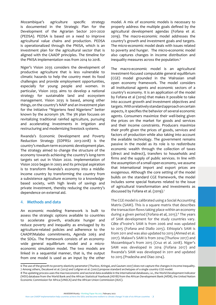<span id="page-13-0"></span>Mozambique's agriculture specific strategy is documented in the [Strategic Plan for the](http://faolex.fao.org/docs/pdf/moz169514.pdf) [Development of the Agrarian Sector 2011-2020](http://faolex.fao.org/docs/pdf/moz169514.pdf) [\(PEDSA\).](http://faolex.fao.org/docs/pdf/moz169514.pdf) PEDSA is based on a need to improve agricultural value chains and production. PEDSA is operationalized through the PNISA, which is an investment plan for the agricultural sector that is aligned with the CAADP principles. The timeline for the PNISA implementation was from 2014 to 2018.

Niger's Vision 2035 considers the development of productive agriculture that is less vulnerable to climatic hazards to help the country meet its food challenges and provide employment opportunities, especially for young people and women. In particular, Vision 2035 aims to develop a national strategy for sustainable land and ecosystem management. Vision 2035 is based, among other things, on the country's NAIP and an investment plan for the Initiative "Nigeriens feed Nigeriens" better known by the acronym 3N. The 3N plan focuses on revitalizing traditional rainfed agriculture, pursuing and accelerating investments in irrigation and restructuring and modernizing livestock systems.

Rwanda's Economic Development and Poverty Reduction Strategy (EDPRS2 2013-2018) is the country's medium-term economic development plan. The strategy aimed to change the structure of the economy towards achieving the country's long-term targets set out in Vision 2020. Implementation of Vision 2020 began in 2003 and its principal aspiration is to transform Rwanda's economy into a middleincome country by transforming the country from a subsistence agriculture economy to a knowledgebased society, with high levels of savings and private investment, thereby reducing the country's dependence on external aid.

#### 4. **Methods and data**

An economic modeling framework is built to assess the strategic options available to countries to accelerate growth, eradicate hunger and reduce poverty and inequality as envisaged by its agriculture-related policies and adherence to the CAADP/Malabo commitments, Agenda 2063 and the SDGs. The framework consists of an economywide general equilibrium model and a microeconomic simulation model. The two models are linked in a sequential manner, that is, the output from one model is used as an input by the other

model. A mix of economic models is necessary to properly address the multiple goals defined by the agricultural development agendas (Fofana et al. 2019). The macro-economic model addresses the country's growth and investment goals and targets. The micro-economic model deals with issues related to poverty and hunger. The micro-economic model also captures changes in income distribution and inequality measures across the population.<sup>6</sup>

The macro-economic model is an agricultural investment-focused computable general equilibrium (CGE) model grounded in the Walrasian small open economy framework. The model considers all institutional agents and economic sectors of a country's economy. It is an application of the model by Fofana et al (2019) that makes it possible to take into account growth and investment objectives and targets. With a relatively standard approach on certain aspects, it specifies the behavior of several economic agents. Consumers maximize their well-being given the prices on the market for goods and services and their income constraints. Producers maximize their profit given the prices of goods, services and factors of production while also taking into account the available technology. The government remains passive in the model as its role is to redistribute economic wealth through the collection of taxes (direct and indirect), transfers to households and firms and the supply of public services. In line with the assumption of a small open economy, we assume that international import and export prices are exogenous. Although the core setting of the model builds on the standard CGE framework, the model includes some special features related to the issue of agricultural transformation and investments as discussed by Fofana et al. (2019).7

The CGE model is calibrated using a Social Accounting Matrix (SAM). This is a square matrix that describes the transaction flows taking place within an economy during a given period (Fofana et al, 2015).<sup>8</sup> The years of SAM development for the study countries vary. Côte d'Ivoire's SAM is from 2006 and was updated to 2015 (Fofana and Diallo 2015). Ethiopia's SAM is from 2011 and was also updated to 2015 (Ahmed et al. 2017). Malawi's SAM is from 2014 (Thurlow 2017) and Mozambique's from 2015 (Cruz et al. 2018). Niger's SAM was developed in 2014 (Fofana 2017) and Rwanda's SAM was developed in 2011 and updated to 2015 (Pradesha and Diao 2014).

AKADEMIYA2063 - Working Paper No.002, February 2022

<sup>6</sup> The use of the growth-to-poverty elasticity parameter (Thurlow, Kiringai, and Gautam 2007) does not capture the changes in income inequality. 7 Among others, Decalu[wé](https://doi.org/10.1098/rstb.2010.0134) et al. (2013) and Lofgren et al. (2002) propose standard archetypes of a single country CGE model.

<sup>8</sup> The updating process uses the macroeconomic and sectoral data available in the international databases, i.e., the World Development Indicator (WDI) database from the World Bank and the African Statistical Yearbook (ASYB) from the African Development Bank (AfDB), the United Nation Economic Commission for Africa (UNECA) and the African Union Commission (AUC).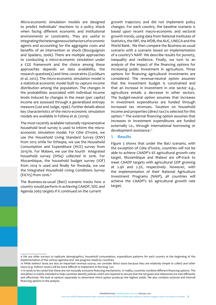<span id="page-14-0"></span>Micro-economic simulation models are designed to predict individuals' reactions to a policy shock when facing different economic and institutional environments or constraints. They are useful in integrating the heterogeneous behaviors of economic agents and accounting for the aggregate costs and benefits of an intervention or shock (Bourguignon and Spadaro, 2006). There are multiple approaches to conducting a micro-economic simulation under a CGE framework and the choice among these approaches depends on data availability, the research question(s) and time constraints (Cockburn *et al*, 2012). The micro-economic simulation model is a statistical economic model built to capture income distribution among the population. The changes in the probabilities associated with individual income levels induced by changes in the mean (per capita) income are assessed through a generalized entropy measure (Lee and Judge, 1996). Further details about key characteristics of the micro-economic simulation models are available in Fofana et al. (2019).

The most recently available nationally representative household level survey is used to inform the microeconomic simulation model. For Côte d'Ivoire, we use the Household Living Standard Survey (ENV) from 2015 while for Ethiopia, we use the Household Consumption and Expenditure (HCE) survey from 2015/16. For Malawi, we use the fourth integrated household survey (IHS4) collected in 2016. For Mozambique, the household budget survey (IOF) from 2014 is used and finally for Rwanda, we use the Integrated Household Living Conditions Survey (EICV5) from 2016.9

The Business-as-usual (BaU) scenario tracks how a country would perform in achieving CAADP, SDG and Agenda 2063 targets if it continued on the current

growth trajectory and did not implement policy changes. For each country, the baseline scenario is based upon recent macro-economic and sectoral growth trends, using data from National Institutes of Statistics, the IMF, the AfDB, the AUC, UNECA and the World Bank. We then compare the Business-as-usual scenario with a scenario based on implementation of a country's NAIP. We describe results for poverty, inequality and resilience. Finally, we turn to an analysis of the impact of the financing options for increasing public investment in agriculture. Three options for financing agricultural investments are considered. The revenue-neutral option assumes that the investment budget is constrained and that an increase in investment in one sector e.g., agriculture entails a decrease in other sectors. The budget-neutral option assumes that increases in investment expenditures are funded through increased tax revenues. Taxation on household income and properties (direct tax) is selected for this option.10 The external financing option assumes that increases in investment expenditures are funded externally i.e., through international borrowing or development assistance.<sup>11</sup>

#### 5. **Results**

Figure 3 shows that under the BaU scenario, with the exception of Côte d'ivoire, countries will not be able to achieve CAADP's 6% agricultural growth rate target. Mozambique and Malawi are off-track to meet CAADP targets with agricultural GDP growing at 2.9% and 2.3%, respectively. However, with the implementation of their National Agriculture Investment Programs (NAIP), all countries will achieve the CAADP's 6% agricultural growth rate target.

AKADEMIYA2063 - Working Paper No.002, February 2022

<sup>9</sup> We use older surveys to replicate demographics, household consumption, expenditure patterns for each country at the beginning of the implementation of the various agendas and see progress made by countries.

<sup>10</sup> While indirect taxes are also an important revenue source, we consider direct taxes because they are relatively simple to collect and other taxes (e.g. indirect taxes) will be more difficult to implement in the long- run.

<sup>11</sup> It needs to be noted that these are not mutually exclusive financing mechanisms. In reality, countries combine different financing options. The simulation is mainly intended to help countries identify policies which are required to ensure that the set goals and milestones are met efficiently and effectively. We look at options separately to determine which option produces the highest yields. We also combine external and internal financing options in the analysis.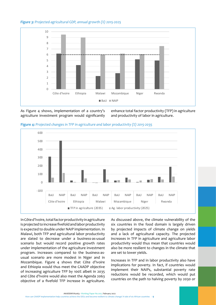#### *Figure 3: Projected agricultural GDP, annual growth (%) 2015-2025*



As Figure 4 shows, implementation of a country's agriculture investment program would significantly

enhance total factor productivity (TFP) in agriculture and productivity of labor in agriculture.





In Côte d'Ivoire, total factor productivity in agriculture is projected to increase fivefold and labor productivity is expected to double under NAIP implementation. In Malawi, both TFP and agricultural labor productivity are slated to decrease under a business-as-usual scenario but would record positive growth rates under implementation of the agriculture investment program. Increases compared to the business-asusual scenario are more modest in Niger and in Mozambique. Figure 4 shows that Côte d'Ivoire and Ethiopia would thus meet the CAADP objective of increasing agriculture TFP by 100% albeit in 2035 and Côte d'Ivoire would also meet the Agenda 2063 objective of a fivefold TFP increase in agriculture.

As discussed above, the climate vulnerability of the six countries in the food domain is largely driven by projected impacts of climate change on yields and a lack of agricultural capacity. The projected increases in TFP in agriculture and agriculture labor productivity would thus mean that countries would also be more resilient to changes in the climate that are set to lower yields.

Increases in TFP and in labor productivity also have implications for poverty. In fact, if countries would implement their NAIPs, substantial poverty rate reductions would be recorded, which would put countries on the path to halving poverty by 2030 or

AKADEMIYA2063 - Working Paper No.002, February 2022 How can CAADP implementation help countries achieve the SDGs and become resilient to climate change? A tale of six African countries - **9**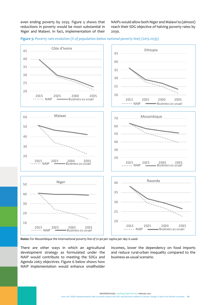even ending poverty by 2035. Figure 5 shows that reductions in poverty would be most substantial in Niger and Malawi. In fact, implementation of their

NAIPs would allow both Niger and Malawi to (almost) reach their SDG objective of halving poverty rates by 2030.





*Notes: For Mozambique the international poverty line of \$1.90 per capita per day is used.*

There are other ways in which an agricultural development strategy as formulated under the NAIP would contribute to meeting the SDGs and Agenda 2063 objectives. Figure 6 below shows how NAIP implementation would enhance smallholder

incomes, lower the dependency on food imports and reduce rural-urban inequality compared to the business-as-usual scenario.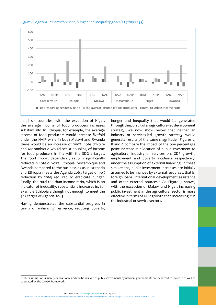

#### *Figure 6: Agricultural development, hunger and inequality goals (%) (2015-2035)*

In all six countries, with the exception of Niger, the average income of food producers increases substantially. In Ethiopia, for example, the average income of food producers would increase fivefold under the NAIP while in both Malawi and Rwanda there would be an increase of 200%. Côte d'Ivoire and Mozambique would see a doubling of income for food producers in line with the SDG 2 target. The food import dependency ratio is significantly reduced in Côte d'Ivoire, Ethiopia, Mozambique and Rwanda compared to the business-as-usual scenario and Ethiopia meets the Agenda 2063 target of 70% reduction by 2063 required to eradicate hunger. Finally, the rural-to-urban income ratio, which is an indicator of inequality, substantially increases in, for example Ethiopia although not enough to meet the 50% target of Agenda 2063.

Having demonstrated the substantial progress in terms of enhancing resilience, reducing poverty,

hunger and inequality that would be generated through the pursuit of an agriculture-led development strategy, we now show below that neither an industry or services-led growth strategy would generate results of the same magnitude. Figures 7, 8 and 9 compare the impact of the one percentage point increase in allocation of public investment to agriculture, industry or services on, GDP growth, employment and poverty incidence respectively, under the assumption of external financing. In these simulations, public investment increases are initially assumed to be financed by external resources, that is, foreign loans, international development assistance and other external sources.<sup>12</sup> As Figure  $7$  shows, with the exception of Malawi and Niger, increasing public investment in the agricultural sector is more effective in terms of GDP growth than increasing it in the industrial or service sectors.

AKADEMIYA2063 - Working Paper No.002, February 2022

How can CAADP implementation help countries achieve the SDGs and become resilient to climate change? A tale of six African countries - **11**

<sup>12</sup> This assumption is merely expositional and can be relaxed as public investments by national governments are expected to increase as well as stipulated by the CAADP framework.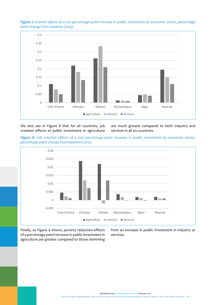



We also see in Figure 8 that for all countries, job creation effects of public investment in agriculture are much greater compared to both industry and services in all six countries.

*Figure 8: Job creation effects of a one percentage point increase in public investment by economic sector, percentage point change from baseline (2015)*



Finally, as Figure 9 shows, poverty reduction effects of a percentage point increase in public investment in agriculture are greater compared to those stemming from an increase in public investment in industry or services.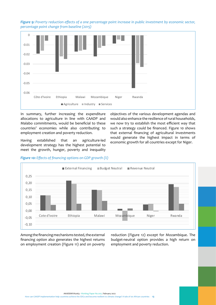*Figure 9: Poverty reduction effects of a one percentage point increase in public investment by economic sector, percentage point change from baseline (2015)*



In summary, further increasing the expenditure allocations to agriculture in line with CAADP and Malabo commitments, would be beneficial to these countries' economies while also contributing to employment creation and poverty reduction.

Having established that an agriculture-led development strategy has the highest potential to meet the growth, hunger, poverty and inequality objectives of the various development agendas and would also enhance the resilience of rural households, we now try to establish the most efficient way that such a strategy could be financed. Figure 10 shows that external financing of agricultural investments would generate the highest impact in terms of economic growth for all countries except for Niger.



*Figure 10: Effects of financing options on GDP growth (%)*

Among the financing mechanisms tested, the external financing option also generates the highest returns on employment creation (Figure 11) and on poverty reduction (Figure 12) except for Mozambique. The budget-neutral option provides a high return on employment and poverty reduction.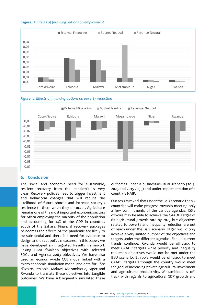#### <span id="page-20-0"></span> *Figure 11: Effects of financing options on employment*



#### *Figure 12: Effects of financing options on poverty reduction*



#### **6. Conclusion**

The social and economic need for sustainable, resilient recovery from the pandemic is very clear. Recovery policies need to trigger investment and behavioral changes that will reduce the likelihood of future shocks and increase society's resilience to them when they do occur. Agriculture remains one of the most important economic sectors for Africa employing the majority of the population and accounting for 14% of the GDP in countries south of the Sahara. Financial recovery packages to address the effects of the pandemic are likely to be substantial and there is a need for evidence to design and direct policy measures. In this paper, we have developed an Integrated Results Framework linking CAADP/Malabo objectives with selected SDGs and Agenda 2063 objectives. We have also used an economy-wide CGE model linked with a micro-economic simulation model and data for Côte d'Ivoire, Ethiopia, Malawi, Mozambique, Niger and Rwanda to translate these objectives into tangible outcomes. We have subsequently simulated these

outcomes under a business-as-usual scenario (2015- 2025 and 2015-2035) and under implementation of a country's NAIP.

Our results reveal that under the BaU scenario the six countries will make progress towards meeting only a few commitments of the various agendas. Côte d'Ivoire may be able to achieve the CAADP target of 6% agricultural growth rate by 2025 but objectives related to poverty and inequality reduction are out of reach under the BaU scenario. Niger would only achieve a very limited number of the objectives and targets under the different agendas. Should current trends continue, Rwanda would be off-track to meet CAADP targets while poverty and inequality reduction objectives would not be met under the BaU scenario. Ethiopia would be off-track to meet CAADP targets although the country would meet the goal of increasing private agricultural investment and agricultural productivity. Mozambique is offtrack with regards to agricultural GDP growth and

AKADEMIYA2063 - Working Paper No.002, February 2022 How can CAADP implementation help countries achieve the SDGs and become resilient to climate change? A tale of six African countries - **14**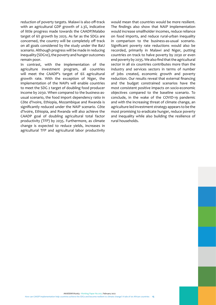reduction of poverty targets. Malawi is also off-track with an agricultural GDP growth of 2.3%, indicative of little progress made towards the CAADP/Malabo target of 6% growth by 2025. As far as the SDGs are concerned, the country will be completely off track on all goals considered by the study under the BaU scenario. Although progress will be made in reducing inequality (SDG10), the poverty and hunger outcomes remain poor.

In contrast, with the implementation of the agriculture investment program, all countries will meet the CAADP's target of 6% agricultural growth rate. With the exception of Niger, the implementation of the NAIPs will enable countries to meet the SDG 2 target of doubling food producer income by 2030. When compared to the business-asusual scenario, the food import dependency ratio in Côte d'Ivoire, Ethiopia, Mozambique and Rwanda is significantly reduced under the NAIP scenario. Côte d'Ivoire, Ethiopia, and Rwanda will also achieve the CAADP goal of doubling agricultural total factor productivity (TFP) by 2035. Furthermore, as climate change is expected to reduce yields, increases in agricultural TFP and agricultural labor productivity would mean that countries would be more resilient. The findings also show that NAIP implementation would increase smallholder incomes, reduce reliance on food imports, and reduce rural-urban inequality in comparison to the business-as-usual scenario. Significant poverty rate reductions would also be recorded, primarily in Malawi and Niger, putting countries on track to halve poverty by 2030 or even end poverty by 2035. We also find that the agricultural sector in all six countries contributes more than the industry and services sectors in terms of number of jobs created, economic growth and poverty reduction. Our results reveal that external financing and the budget constrained scenarios have the most consistent positive impacts on socio-economic objectives compared to the baseline scenario. To conclude, in the wake of the COVID-19 pandemic and with the increasing threat of climate change, an agriculture-led investment strategy appears to be the most promising to eradicate hunger, reduce poverty and inequality while also building the resilience of rural households.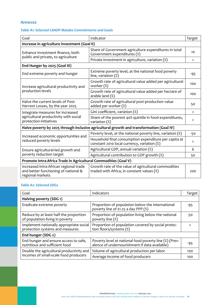# <span id="page-22-0"></span>**Annexes**

# *Table A1: Selected CAADP Malabo Commitments and Goals*

| Goal                                                                                                | Indicator                                                                                            | Target                   |  |  |
|-----------------------------------------------------------------------------------------------------|------------------------------------------------------------------------------------------------------|--------------------------|--|--|
| Increase in agriculture investment (Goal II)                                                        |                                                                                                      |                          |  |  |
| Enhance investment finance, both                                                                    | Share of Government agriculture expenditures in total<br>Government expenditures (%)                 | 10                       |  |  |
| public and private, to agriculture                                                                  | Private investment in agriculture, variation (%)                                                     | $\mathbf{L}$             |  |  |
| End Hunger by 2025 (Goal III)                                                                       |                                                                                                      |                          |  |  |
| End extreme poverty and hunger                                                                      | Extreme poverty level, at the national food poverty<br>line, variation $(\%)$                        | -95                      |  |  |
| Increase agricultural productivity and                                                              | Growth rate of agricultural value added per agricultural<br>worker (%)                               | 100                      |  |  |
| production levels                                                                                   | Growth rate of agricultural value added per hectare of<br>arable land (%)                            | 100                      |  |  |
| Halve the current levels of Post-<br>Harvest Losses, by the year 2025                               | Growth rate of agricultural post-production value<br>added per worker (%)                            | 50                       |  |  |
| Integrate measures for increased<br>agricultural productivity with social<br>protection initiatives | Gini coefficient, variation (%)                                                                      | $\overline{\phantom{0}}$ |  |  |
|                                                                                                     | Share of the poorest 40% quintile in food expenditures,<br>variation (%)                             | $\mathbf{L}$             |  |  |
| Halve poverty by 2025 through inclusive agricultural growth and transformation (Goal IV)            |                                                                                                      |                          |  |  |
|                                                                                                     | Poverty level, at the national poverty line, variation (%)                                           | $-50$                    |  |  |
| Increased economic opportunities and<br>reduced poverty levels                                      | Household final consumption expenditure per capita at<br>constant 2010 local currency, variation (%) | $\mathbf{L}$             |  |  |
| Ensure agricultural-led growth and                                                                  | Agricultural GDP, annual variation (%)                                                               | 6                        |  |  |
| poverty reduction target                                                                            | Agricultural contribution to GDP growth (%)                                                          | 50                       |  |  |
| Promote Intra-Africa Trade in Agricultural Commodities (Goal V)                                     |                                                                                                      |                          |  |  |
| Increased intra-African regional trade<br>and better functioning of national &<br>regional markets  | Growth rate of the value of agricultural commodities<br>traded with Africa, in constant values (%)   | 200                      |  |  |

# *Table A2: Selected SDGs*

| Goal                                                                       | Indicators                                                                                              | Target |
|----------------------------------------------------------------------------|---------------------------------------------------------------------------------------------------------|--------|
| Halving poverty (SDG 1)                                                    |                                                                                                         |        |
| Eradicate extreme poverty                                                  | Proportion of population below the international<br>poverty line of \$1.25 a day PPP (%)                | $-95$  |
| Reduce by at least half the proportion<br>of population living in poverty  | Proportion of population living below the national<br>poverty line (%)                                  | $-50$  |
| Implement nationally appropriate social<br>protection systems and measures | Proportion of population covered by social protec-<br>tion floors/systems (%)                           | ゝ      |
| End hunger (SDG 2)                                                         |                                                                                                         |        |
| End hunger and ensure access to safe,<br>nutritious and sufficient food    | Poverty level at national food poverty line (%) (Prev-<br>alence of undernourishment if data available) | -95    |
| Double the agricultural productivity and                                   | Volume of agricultural production per labor                                                             | 100    |
| incomes of small-scale food producers                                      | Average income of food producers                                                                        | 100    |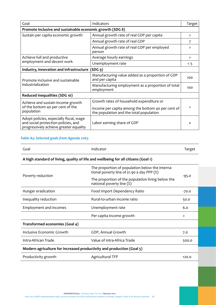| Goal                                                                                                                     | Indicators                                                                                                                               | Target       |  |  |
|--------------------------------------------------------------------------------------------------------------------------|------------------------------------------------------------------------------------------------------------------------------------------|--------------|--|--|
| Promote inclusive and sustainable economic growth (SDG 8)                                                                |                                                                                                                                          |              |  |  |
| Sustain per capita economic growth                                                                                       | Annual growth rate of real GDP per capita                                                                                                | $\mathbf{L}$ |  |  |
|                                                                                                                          | Annual growth rate of real GDP                                                                                                           | 7            |  |  |
|                                                                                                                          | Annual growth rate of real GDP per employed<br>person                                                                                    | $\mathbf{L}$ |  |  |
| Achieve full and productive                                                                                              | Average hourly earnings                                                                                                                  | $\mathbf{L}$ |  |  |
| employment and decent work                                                                                               | Unemployment rate                                                                                                                        | < 5          |  |  |
| Industry, innovation and infrastructure (SDG 9)                                                                          |                                                                                                                                          |              |  |  |
| Promote inclusive and sustainable<br>industrialization                                                                   | Manufacturing value added as a proportion of GDP<br>and per capita                                                                       | 100          |  |  |
|                                                                                                                          | Manufacturing employment as a proportion of total<br>employment                                                                          | 100          |  |  |
| Reduced inequalities (SDG 10)                                                                                            |                                                                                                                                          |              |  |  |
| Achieve and sustain income growth<br>of the bottom 40 per cent of the<br>population                                      | Growth rates of household expenditure or<br>income per capita among the bottom 40 per cent of<br>the population and the total population | $\mathbf{L}$ |  |  |
| Adopt policies, especially fiscal, wage<br>and social protection policies, and<br>progressively achieve greater equality | Labor earning share of GDP                                                                                                               | >            |  |  |

# *Table A3: Selected goals from Agenda 2063*

| $\overline{\phantom{0}}$<br>Goal | Indicator<br>. | ح تف ۔ |
|----------------------------------|----------------|--------|
|                                  |                |        |

# **A high standard of living, quality of life and wellbeing for all citizens (Goal 1)**

| Poverty reduction                                                     | The proportion of population below the interna-<br>tional poverty line of \$1.90 a day PPP (%) |         |  |
|-----------------------------------------------------------------------|------------------------------------------------------------------------------------------------|---------|--|
|                                                                       | The proportion of the population living below the<br>national poverty line (%)                 | -95.0   |  |
| Hunger eradication                                                    | Food Import Dependency Ratio                                                                   | $-70.0$ |  |
| Inequality reduction                                                  | Rural-to-urban income ratio                                                                    | 50.0    |  |
| <b>Employment and incomes</b>                                         | Unemployment rate                                                                              | 6.0     |  |
|                                                                       | Per capita income growth                                                                       | >       |  |
| Transformed economies (Goal 4)                                        |                                                                                                |         |  |
| Inclusive Economic Growth                                             | GDP, Annual Growth                                                                             | 7.0     |  |
| Intra-African Trade                                                   | Value of intra-Africa Trade                                                                    | 500.0   |  |
| Modern agriculture for increased productivity and production (Goal 5) |                                                                                                |         |  |
| Productivity growth                                                   | <b>Agricultural TFP</b>                                                                        | 120.0   |  |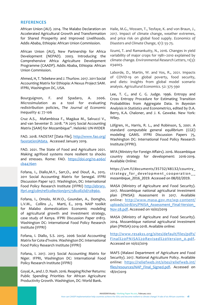#### <span id="page-24-0"></span>**REFERENCES**

African Union (AU). 2014. The Malabo Declaration on Accelerated Agricultural Growth and Transformation for Shared Prosperity and Improved Livelihoods. Addis Ababa, Ethiopia: African Union Commission.

African Union (AU), New Partnership for Africa Development (NEPAD). 2003. Introducing the Comprehensive Africa Agriculture Development Programme (CAADP). Addis Ababa, Ethiopia: African Union Commission.

Ahmed, H, T. Tebekew and J. Thurlow. 2017. 2011 Social Accounting Matrix for Ethiopia: A Nexus Project SAM. IFPRI, Washington DC, USA.

Bourguignon, F. and Spadaro, A. 2006. Microsimulation as a tool for evaluating redistribution policies, *The Journal of Economic Inequality* 4: 77-106

Cruz A.S., Mafambissa F., Magáua M., Salvucci V., and van Seventer D. 2018. "A 2015 Social Accounting Matrix (SAM) for Mozambique". Helsinki: UN-WIDER

FAO. 2018. FAOSTAT [Data File]. [http://www.fao.org/](http://www.fao.org/faostat/en/) [faostat/en/#data](http://www.fao.org/faostat/en/). Accessed January 2019.

FAO. 2021. The State of Food and Agriculture 2021. Making agrifood systems more resilient to shocks and stresses. Rome: FAO. [https://doi.org/10.4060/](https://doi.org/10.4060/cb4476en) [cb4476en](https://doi.org/10.4060/cb4476en)

Fofana, I., Diallo,M.Y., Sarr,O., and Diouf, A., 2015. 2011 Social Accounting Matrix for Senegal. IFPRI Discussion Paper 1417. Washington, DC: International Food Policy Research Institute (IFPRI) [http://ebrary.](http://ebrary.ifpri.org/cdm/ref/collection/p15738coll2/id/128960.) [ifpri.org/cdm/ref/collection/p15738coll2/id/128960.](http://ebrary.ifpri.org/cdm/ref/collection/p15738coll2/id/128960.)

Fofana, I., Omolo, M.W.O., Goundan, A., Domgho, L.V.M., Collins ,J., Marti, E., 2019. NAIP toolkit for Malabo domestication: Economic modeling of agricultural growth and investment strategy, case study of Kenya. IFPRI Discussion Paper 01813. Washington DC: International Food Policy Research Institute (IFPRI)

Fofana, I. Diallo, S.S. 2015. 2006 Social Accounting Matrix for Cote d'Ivoire. Washington DC: International Food Policy Research Institute (IFPRI)

Fofana, I. 2017. 2013 Social Accounting Matrix for Niger. IFPRI, Washington DC: International Food Policy Research Institute (IFPRI)

Goyal, A., and J. D. Nash. 2016. Reaping Richer Returns: Public Spending Priorities for African Agriculture Productivity Growth. Washington, DC: World Bank.

Haile, M.G., Wossen, T., Tesfaye, K. and von Braun, J., 2017. Impact of climate change, weather extremes, and price risk on global food supply. *Economics of Disasters and Climate Change*, *1*(1): 55-75.

Iizumi, T. and Ramankutty, N., 2016. Changes in yield variability of major crops for 1981–2010 explained by climate change. *Environmental Research Letters*, 11(3): 034003.

Laborde, D., Martin, W. and Vos, R., 2021. Impacts of COVID-19 on global poverty, food security, and diets: Insights from global model scenario analysis. *Agricultural Economics*. 52: 375-390

Lee, T. C., and C. G. Judge. 1996. Entropy and Cross Entropy Procedure for Estimating Transition Probabilities from Aggregate Data. In *Bayesian Analyisis in Statistics and Econometrics*, edited by D.A. Berry, K.A. Chaloner, and J. K. Geweke. New York: Wiley.

Löfgren, H., Harris, R. L., and Robinson, S, 2001. A standard computable general equilibrium (CGE) modeling GAMS. IFPRI Discussion Papers 75, Washington DC: International Food Policy Research Institute (IFPRI).

MFA (Ministry for Foreign Affairs). 2016. Mozambique country strategy for development: 2016-2019. Available Online:

https://um.fi/documents/35732/48132/country\_ strategy for development cooperation mozambique\_2016\_2019. Accessed on 08/02/2019.

MASA (Ministry of Agriculture and Food Security). 2017. Mozambique national agricultural investment plan (PNISA): Assessment in 2017. Available online: [http://www.masa.gov.mz/wp-content/](http://www.masa.gov.mz/wp-content/uploads/2018/05/PNISA_Assessment_Final-Version_Nov-28.pdf) uploads/2018/05/PNISA Assessment Final-Version [Nov-28.pdf.](http://www.masa.gov.mz/wp-content/uploads/2018/05/PNISA_Assessment_Final-Version_Nov-28.pdf) Accessed on 10/02/2019

MASA (Ministry of Agriculture and Food Security). 2014. Mozambique national agricultural investment plan (PNISA)-2014-2018. Available online:

[http://www.resakss.org/sites/default/files/pdfs/](http://www.resakss.org/sites/default/files/pdfs/Final%20PNISA%20Revised%20Version_0.pdf) [Final%20PNISA%20Revised%20Version\\_0.pdf.](http://www.resakss.org/sites/default/files/pdfs/Final%20PNISA%20Revised%20Version_0.pdf) Accessed on 10/02/2019

MAFS (Malawi Department of Agriculture and Food Security). 2017. National Agriculture Policy. Available online: [https://reliefweb.int/sites/reliefweb.int/](https://reliefweb.int/sites/reliefweb.int/files/resources/NAP_Final_Signed.pdf) [files/resources/NAP\\_Final\\_Signed.pdf](https://reliefweb.int/sites/reliefweb.int/files/resources/NAP_Final_Signed.pdf). Accessed on 18/01/2019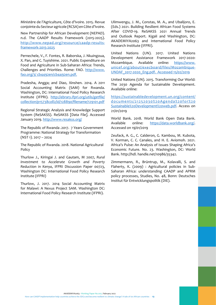Ministère de l'Agriculture, Côte d'Ivoire. 2015. Revue conjointe du Secteur agricole (RCSA) en Côte d'Ivoire.

New Partnership for African Development (NEPAD). n.d. The CAADP Results Framework (2015-2025). [http://www.nepad.org/resource/caadp-results](http://www.nepad.org/resource/caadp-results-framework-2015-2025)[framework-2015-2025](http://www.nepad.org/resource/caadp-results-framework-2015-2025)

Pernechele, V., F. Fontes, R. Baborska, J. Nkuingoua, X. Pan, and C. Tuyishime. 2021. Public Expenditure on Food and Agriculture in Sub-Saharan Africa: Trends, Challenges and Priorities. Rome: FAO. [http://www.](http://www.fao.org/3/%20cb4492en/cb4492en.pdf.) [fao.org/3/ cb4492en/cb4492en.pdf.](http://www.fao.org/3/%20cb4492en/cb4492en.pdf.)

Pradesha, Angga; and Diao, Xinshen. 2014. A 2011 Social Accounting Matrix (SAM) for Rwanda. Washington, DC: International Food Policy Research Institute (IFPRI). http://ebrary.ifpri.org/utils/getfile/ collection/p15738coll2/id/128890/filename/129101.pdf

Regional Strategic Analysis and Knowledge Support System (ReSAKSS). ReSAKSS [Data File]. Accessed January 2019. <http://www.resakss.org/>

The Republic of Rwanda .2017. 7 Years Government Programme: National Strategy for Transformation (NST 1). 2017 – 2024

The Republic of Rwanda. 2018. National Agricultural Policy

Thurlow J., Kiringai J. and Gautam, M 2007, *Rural Investment to Accelerate Growth and Poverty Reduction in Kenya*, IFPRI Discussion Paper 00723, Washington DC: International Food Policy Research Institute (IFPRI)

Thurlow, J. 2017. 2014 Social Accounting Matrix for Malawi: A Nexus Project SAM. Washington DC: International Food Policy Research Institute (IFPRI).

Ulimwengu, J. M., Constas, M. A., and Ubalijoro, E. (Eds.) 2021. Building Resilient African Food Systems After COVID-19. ReSAKSS 2021 Annual Trends and Outlook Report. Kigali and Washington, DC: AKADEMIYA2063 and International Food Policy Research Institute (IFPRI).

United Nations (UN). 2017. United Nations Development Assistance Framework 2017-2020: Mozambique. Available online: [https://www.](https://www.unicef.org/about/execboard/files/Mozambique-UNDAF_2017-2020_Eng.pdf.%20%20Accessed%2015/02/2019) [unicef.org/about/execboard/files/Mozambique-](https://www.unicef.org/about/execboard/files/Mozambique-UNDAF_2017-2020_Eng.pdf.%20%20Accessed%2015/02/2019)[UNDAF\\_2017-2020\\_Eng.pdf. Accessed 15/02/2019](https://www.unicef.org/about/execboard/files/Mozambique-UNDAF_2017-2020_Eng.pdf.%20%20Accessed%2015/02/2019)

United Nations (UN). 2015. Transforming Our World: The 2030 Agenda for Sustainable Development. Available online:

[https://sustainabledevelopment.un.org/content/](https://sustainabledevelopment.un.org/content/documents/21252030%20Agenda%20for%20Sustainable%20Development%20web.pdf) [documents/21252030%20Agenda%20for%20](https://sustainabledevelopment.un.org/content/documents/21252030%20Agenda%20for%20Sustainable%20Development%20web.pdf) [Sustainable%20Development%20web.pdf](https://sustainabledevelopment.un.org/content/documents/21252030%20Agenda%20for%20Sustainable%20Development%20web.pdf). Access on 21/01/2019

World Bank. 2018. World Bank Open Data Bank. Available online: [https://data.worldbank.org/.](https://data.worldbank.org/) Accessed on 19/01/2019

Zeufack, A. G., C. Calderon, G. Kambou, M. Kubota, V. Korman, C. C. Canales, and H. E. Aviomoh. 2021. Africa's Pulse: An Analysis of Issues Shaping Africa's Economic Future. No. 23. Washington, DC: World Bank. http://hdl. handle.net/10986/35342.

Zimmermann, R., Brüntrup, M., Kolavalli, S. and Flaherty, K. (2009) : Agricultural policies in Sub-Saharan Africa: understanding CAADP and APRM policy processes, Studies, No. 48, Bonn: Deutsches Institut für Entwicklungspolitik (DIE).